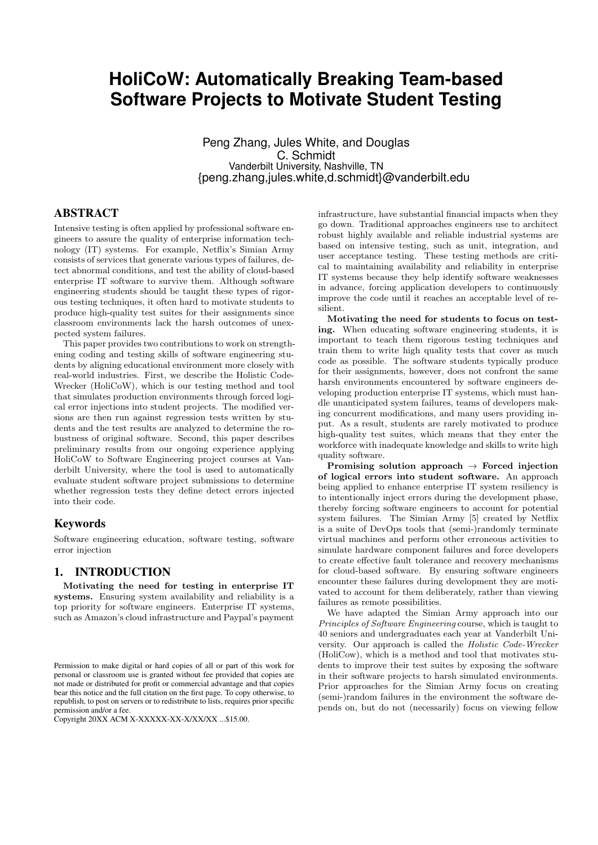# **HoliCoW: Automatically Breaking Team-based Software Projects to Motivate Student Testing**

Peng Zhang, Jules White, and Douglas C. Schmidt Vanderbilt University, Nashville, TN {peng.zhang,jules.white,d.schmidt}@vanderbilt.edu

## ABSTRACT

Intensive testing is often applied by professional software engineers to assure the quality of enterprise information technology (IT) systems. For example, Netflix's Simian Army consists of services that generate various types of failures, detect abnormal conditions, and test the ability of cloud-based enterprise IT software to survive them. Although software engineering students should be taught these types of rigorous testing techniques, it often hard to motivate students to produce high-quality test suites for their assignments since classroom environments lack the harsh outcomes of unexpected system failures.

This paper provides two contributions to work on strengthening coding and testing skills of software engineering students by aligning educational environment more closely with real-world industries. First, we describe the Holistic Code-Wrecker (HoliCoW), which is our testing method and tool that simulates production environments through forced logical error injections into student projects. The modified versions are then run against regression tests written by students and the test results are analyzed to determine the robustness of original software. Second, this paper describes preliminary results from our ongoing experience applying HoliCoW to Software Engineering project courses at Vanderbilt University, where the tool is used to automatically evaluate student software project submissions to determine whether regression tests they define detect errors injected into their code.

# Keywords

Software engineering education, software testing, software error injection

# 1. INTRODUCTION

Motivating the need for testing in enterprise IT systems. Ensuring system availability and reliability is a top priority for software engineers. Enterprise IT systems, such as Amazon's cloud infrastructure and Paypal's payment

infrastructure, have substantial financial impacts when they go down. Traditional approaches engineers use to architect robust highly available and reliable industrial systems are based on intensive testing, such as unit, integration, and user acceptance testing. These testing methods are critical to maintaining availability and reliability in enterprise IT systems because they help identify software weaknesses in advance, forcing application developers to continuously improve the code until it reaches an acceptable level of resilient.

Motivating the need for students to focus on testing. When educating software engineering students, it is important to teach them rigorous testing techniques and train them to write high quality tests that cover as much code as possible. The software students typically produce for their assignments, however, does not confront the same harsh environments encountered by software engineers developing production enterprise IT systems, which must handle unanticipated system failures, teams of developers making concurrent modifications, and many users providing input. As a result, students are rarely motivated to produce high-quality test suites, which means that they enter the workforce with inadequate knowledge and skills to write high quality software.

Promising solution approach  $\rightarrow$  Forced injection of logical errors into student software. An approach being applied to enhance enterprise IT system resiliency is to intentionally inject errors during the development phase, thereby forcing software engineers to account for potential system failures. The Simian Army [5] created by Netflix is a suite of DevOps tools that (semi-)randomly terminate virtual machines and perform other erroneous activities to simulate hardware component failures and force developers to create effective fault tolerance and recovery mechanisms for cloud-based software. By ensuring software engineers encounter these failures during development they are motivated to account for them deliberately, rather than viewing failures as remote possibilities.

We have adapted the Simian Army approach into our Principles of Software Engineering course, which is taught to 40 seniors and undergraduates each year at Vanderbilt University. Our approach is called the Holistic Code-Wrecker (HoliCow), which is a method and tool that motivates students to improve their test suites by exposing the software in their software projects to harsh simulated environments. Prior approaches for the Simian Army focus on creating (semi-)random failures in the environment the software depends on, but do not (necessarily) focus on viewing fellow

Permission to make digital or hard copies of all or part of this work for personal or classroom use is granted without fee provided that copies are not made or distributed for profit or commercial advantage and that copies bear this notice and the full citation on the first page. To copy otherwise, to republish, to post on servers or to redistribute to lists, requires prior specific permission and/or a fee.

Copyright 20XX ACM X-XXXXX-XX-X/XX/XX ...\$15.00.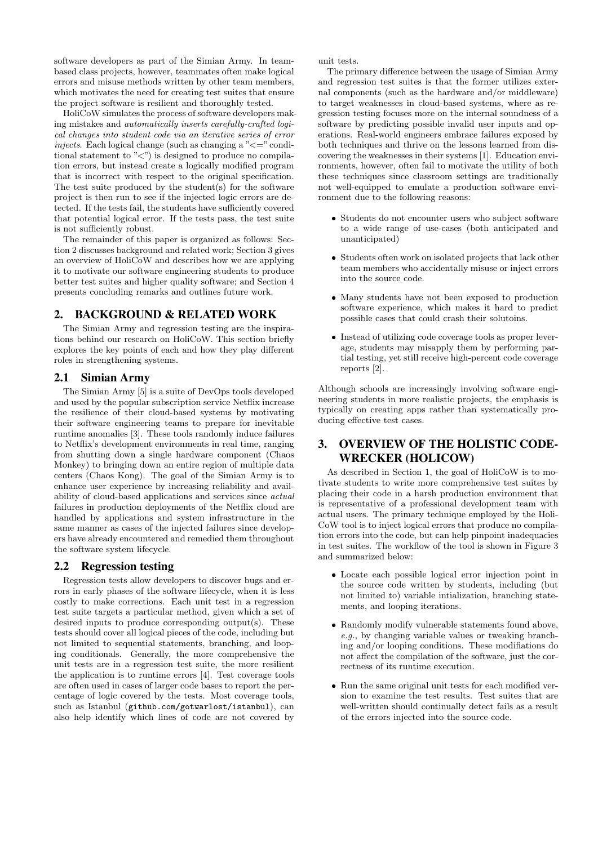software developers as part of the Simian Army. In teambased class projects, however, teammates often make logical errors and misuse methods written by other team members, which motivates the need for creating test suites that ensure the project software is resilient and thoroughly tested.

HoliCoW simulates the process of software developers making mistakes and automatically inserts carefully-crafted logical changes into student code via an iterative series of error injects. Each logical change (such as changing a  $\degree \leq \degree$  conditional statement to " $\langle$ ") is designed to produce no compilation errors, but instead create a logically modified program that is incorrect with respect to the original specification. The test suite produced by the student(s) for the software project is then run to see if the injected logic errors are detected. If the tests fail, the students have sufficiently covered that potential logical error. If the tests pass, the test suite is not sufficiently robust.

The remainder of this paper is organized as follows: Section 2 discusses background and related work; Section 3 gives an overview of HoliCoW and describes how we are applying it to motivate our software engineering students to produce better test suites and higher quality software; and Section 4 presents concluding remarks and outlines future work.

# 2. BACKGROUND & RELATED WORK

The Simian Army and regression testing are the inspirations behind our research on HoliCoW. This section briefly explores the key points of each and how they play different roles in strengthening systems.

# 2.1 Simian Army

The Simian Army [5] is a suite of DevOps tools developed and used by the popular subscription service Netflix increase the resilience of their cloud-based systems by motivating their software engineering teams to prepare for inevitable runtime anomalies [3]. These tools randomly induce failures to Netflix's development environments in real time, ranging from shutting down a single hardware component (Chaos Monkey) to bringing down an entire region of multiple data centers (Chaos Kong). The goal of the Simian Army is to enhance user experience by increasing reliability and availability of cloud-based applications and services since actual failures in production deployments of the Netflix cloud are handled by applications and system infrastructure in the same manner as cases of the injected failures since developers have already encountered and remedied them throughout the software system lifecycle.

# 2.2 Regression testing

Regression tests allow developers to discover bugs and errors in early phases of the software lifecycle, when it is less costly to make corrections. Each unit test in a regression test suite targets a particular method, given which a set of desired inputs to produce corresponding output(s). These tests should cover all logical pieces of the code, including but not limited to sequential statements, branching, and looping conditionals. Generally, the more comprehensive the unit tests are in a regression test suite, the more resilient the application is to runtime errors [4]. Test coverage tools are often used in cases of larger code bases to report the percentage of logic covered by the tests. Most coverage tools, such as Istanbul (github.com/gotwarlost/istanbul), can also help identify which lines of code are not covered by unit tests.

The primary difference between the usage of Simian Army and regression test suites is that the former utilizes external components (such as the hardware and/or middleware) to target weaknesses in cloud-based systems, where as regression testing focuses more on the internal soundness of a software by predicting possible invalid user inputs and operations. Real-world engineers embrace failures exposed by both techniques and thrive on the lessons learned from discovering the weaknesses in their systems [1]. Education environments, however, often fail to motivate the utility of both these techniques since classroom settings are traditionally not well-equipped to emulate a production software environment due to the following reasons:

- Students do not encounter users who subject software to a wide range of use-cases (both anticipated and unanticipated)
- Students often work on isolated projects that lack other team members who accidentally misuse or inject errors into the source code.
- Many students have not been exposed to production software experience, which makes it hard to predict possible cases that could crash their solutoins.
- Instead of utilizing code coverage tools as proper leverage, students may misapply them by performing partial testing, yet still receive high-percent code coverage reports [2].

Although schools are increasingly involving software engineering students in more realistic projects, the emphasis is typically on creating apps rather than systematically producing effective test cases.

# 3. OVERVIEW OF THE HOLISTIC CODE-WRECKER (HOLICOW)

As described in Section 1, the goal of HoliCoW is to motivate students to write more comprehensive test suites by placing their code in a harsh production environment that is representative of a professional development team with actual users. The primary technique employed by the Holi-CoW tool is to inject logical errors that produce no compilation errors into the code, but can help pinpoint inadequacies in test suites. The workflow of the tool is shown in Figure 3 and summarized below:

- Locate each possible logical error injection point in the source code written by students, including (but not limited to) variable intialization, branching statements, and looping iterations.
- Randomly modify vulnerable statements found above, e.g., by changing variable values or tweaking branching and/or looping conditions. These modifiations do not affect the compilation of the software, just the correctness of its runtime execution.
- Run the same original unit tests for each modified version to examine the test results. Test suites that are well-written should continually detect fails as a result of the errors injected into the source code.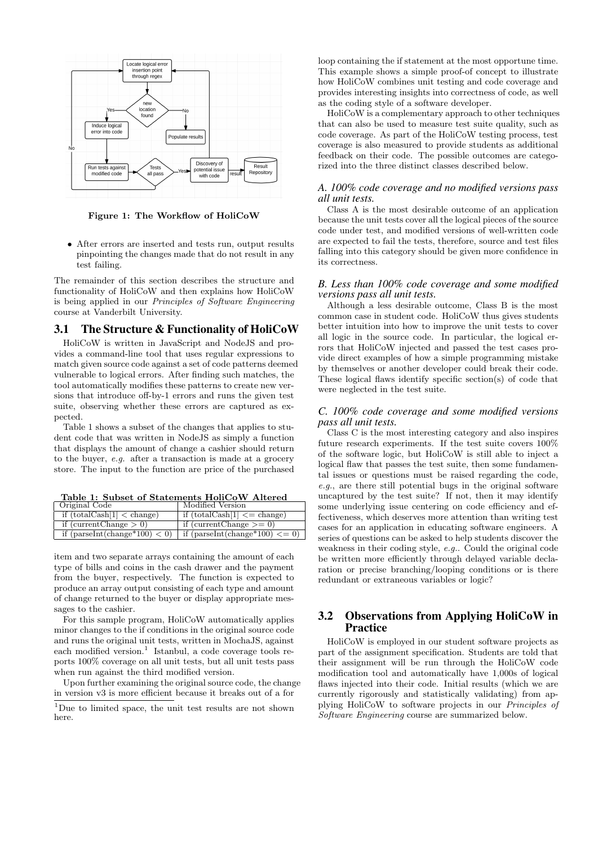

Figure 1: The Workflow of HoliCoW

• After errors are inserted and tests run, output results pinpointing the changes made that do not result in any test failing.

The remainder of this section describes the structure and functionality of HoliCoW and then explains how HoliCoW is being applied in our Principles of Software Engineering course at Vanderbilt University.

### 3.1 The Structure & Functionality of HoliCoW

HoliCoW is written in JavaScript and NodeJS and provides a command-line tool that uses regular expressions to match given source code against a set of code patterns deemed vulnerable to logical errors. After finding such matches, the tool automatically modifies these patterns to create new versions that introduce off-by-1 errors and runs the given test suite, observing whether these errors are captured as expected.

Table 1 shows a subset of the changes that applies to student code that was written in NodeJS as simply a function that displays the amount of change a cashier should return to the buyer, e.g. after a transaction is made at a grocery store. The input to the function are price of the purchased

Table 1: Subset of Statements HoliCoW Altered

| Original Code                         | Modified Version                                 |
|---------------------------------------|--------------------------------------------------|
| if $(totalCash[1] < change)$          | if $(totalCash[1] \leq \text{change})$           |
| if (current Change $> 0$ )            | if (current Change $\geq$ = 0)                   |
| if ${\rm (parseInt(change*100) < 0)}$ | if $(\text{parseInt}(\text{change*100}) \leq 0)$ |

item and two separate arrays containing the amount of each type of bills and coins in the cash drawer and the payment from the buyer, respectively. The function is expected to produce an array output consisting of each type and amount of change returned to the buyer or display appropriate messages to the cashier.

For this sample program, HoliCoW automatically applies minor changes to the if conditions in the original source code and runs the original unit tests, written in MochaJS, against each modified version.<sup>1</sup> Istanbul, a code coverage tools reports 100% coverage on all unit tests, but all unit tests pass when run against the third modified version.

Upon further examining the original source code, the change in version v3 is more efficient because it breaks out of a for

<sup>1</sup>Due to limited space, the unit test results are not shown here.

loop containing the if statement at the most opportune time. This example shows a simple proof-of concept to illustrate how HoliCoW combines unit testing and code coverage and provides interesting insights into correctness of code, as well as the coding style of a software developer.

HoliCoW is a complementary approach to other techniques that can also be used to measure test suite quality, such as code coverage. As part of the HoliCoW testing process, test coverage is also measured to provide students as additional feedback on their code. The possible outcomes are categorized into the three distinct classes described below.

#### *A. 100% code coverage and no modified versions pass all unit tests.*

Class A is the most desirable outcome of an application because the unit tests cover all the logical pieces of the source code under test, and modified versions of well-written code are expected to fail the tests, therefore, source and test files falling into this category should be given more confidence in its correctness.

#### *B. Less than 100% code coverage and some modified versions pass all unit tests.*

Although a less desirable outcome, Class B is the most common case in student code. HoliCoW thus gives students better intuition into how to improve the unit tests to cover all logic in the source code. In particular, the logical errors that HoliCoW injected and passed the test cases provide direct examples of how a simple programming mistake by themselves or another developer could break their code. These logical flaws identify specific section(s) of code that were neglected in the test suite.

#### *C. 100% code coverage and some modified versions pass all unit tests.*

Class C is the most interesting category and also inspires future research experiments. If the test suite covers 100% of the software logic, but HoliCoW is still able to inject a logical flaw that passes the test suite, then some fundamental issues or questions must be raised regarding the code, e.g., are there still potential bugs in the original software uncaptured by the test suite? If not, then it may identify some underlying issue centering on code efficiency and effectiveness, which deserves more attention than writing test cases for an application in educating software engineers. A series of questions can be asked to help students discover the weakness in their coding style, e.g.. Could the original code be written more efficiently through delayed variable declaration or precise branching/looping conditions or is there redundant or extraneous variables or logic?

## 3.2 Observations from Applying HoliCoW in **Practice**

HoliCoW is employed in our student software projects as part of the assignment specification. Students are told that their assignment will be run through the HoliCoW code modification tool and automatically have 1,000s of logical flaws injected into their code. Initial results (which we are currently rigorously and statistically validating) from applying HoliCoW to software projects in our Principles of Software Engineering course are summarized below.